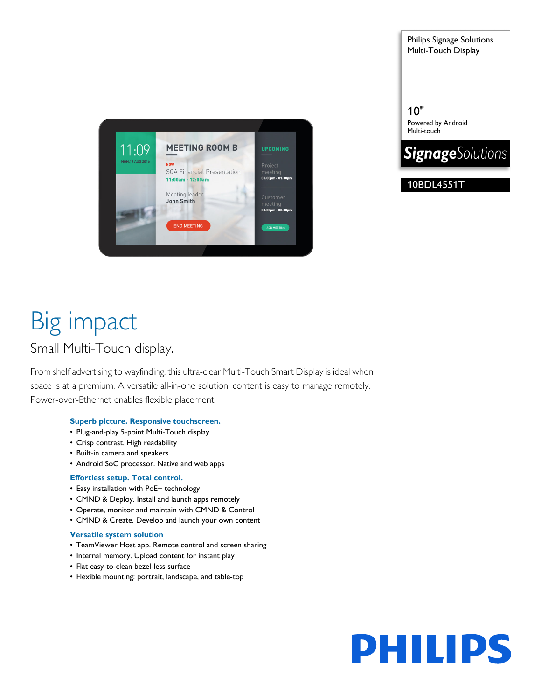

Philips Signage Solutions Multi-Touch Display

10" Powered by Android Multi-touch



10BDL4551T

# Big impact

### Small Multi-Touch display.

From shelf advertising to wayfinding, this ultra-clear Multi-Touch Smart Display is ideal when space is at a premium. A versatile all-in-one solution, content is easy to manage remotely. Power-over-Ethernet enables flexible placement

#### **Superb picture. Responsive touchscreen.**

- Plug-and-play 5-point Multi-Touch display
- Crisp contrast. High readability
- Built-in camera and speakers
- Android SoC processor. Native and web apps

#### **Effortless setup. Total control.**

- Easy installation with PoE+ technology
- CMND & Deploy. Install and launch apps remotely
- Operate, monitor and maintain with CMND & Control
- CMND & Create. Develop and launch your own content

#### **Versatile system solution**

- TeamViewer Host app. Remote control and screen sharing
- Internal memory. Upload content for instant play
- Flat easy-to-clean bezel-less surface
- Flexible mounting: portrait, landscape, and table-top